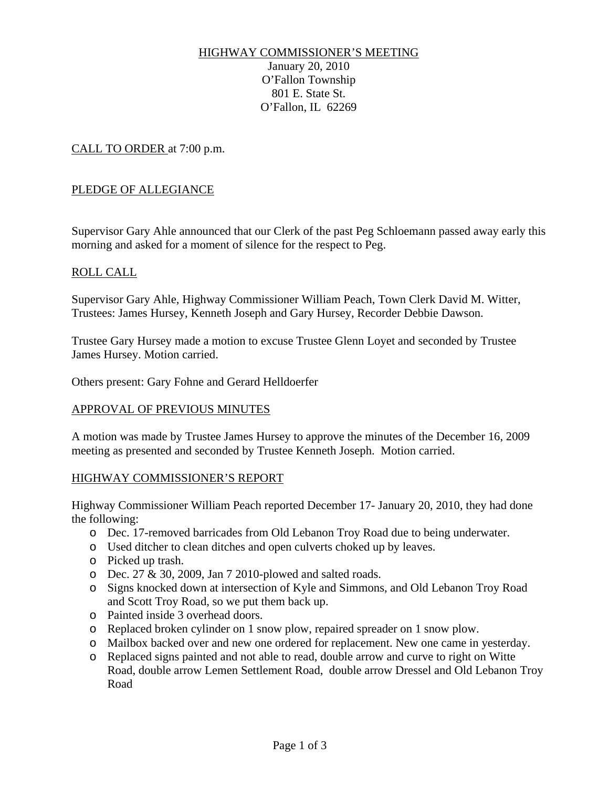# HIGHWAY COMMISSIONER'S MEETING

January 20, 2010 O'Fallon Township 801 E. State St. O'Fallon, IL 62269

CALL TO ORDER at 7:00 p.m.

## PLEDGE OF ALLEGIANCE

Supervisor Gary Ahle announced that our Clerk of the past Peg Schloemann passed away early this morning and asked for a moment of silence for the respect to Peg.

## ROLL CALL

Supervisor Gary Ahle, Highway Commissioner William Peach, Town Clerk David M. Witter, Trustees: James Hursey, Kenneth Joseph and Gary Hursey, Recorder Debbie Dawson.

Trustee Gary Hursey made a motion to excuse Trustee Glenn Loyet and seconded by Trustee James Hursey. Motion carried.

Others present: Gary Fohne and Gerard Helldoerfer

#### APPROVAL OF PREVIOUS MINUTES

A motion was made by Trustee James Hursey to approve the minutes of the December 16, 2009 meeting as presented and seconded by Trustee Kenneth Joseph. Motion carried.

#### HIGHWAY COMMISSIONER'S REPORT

Highway Commissioner William Peach reported December 17- January 20, 2010, they had done the following:

- o Dec. 17-removed barricades from Old Lebanon Troy Road due to being underwater.
- o Used ditcher to clean ditches and open culverts choked up by leaves.
- o Picked up trash.
- o Dec. 27 & 30, 2009, Jan 7 2010-plowed and salted roads.
- o Signs knocked down at intersection of Kyle and Simmons, and Old Lebanon Troy Road and Scott Troy Road, so we put them back up.
- o Painted inside 3 overhead doors.
- o Replaced broken cylinder on 1 snow plow, repaired spreader on 1 snow plow.
- o Mailbox backed over and new one ordered for replacement. New one came in yesterday.
- o Replaced signs painted and not able to read, double arrow and curve to right on Witte Road, double arrow Lemen Settlement Road, double arrow Dressel and Old Lebanon Troy Road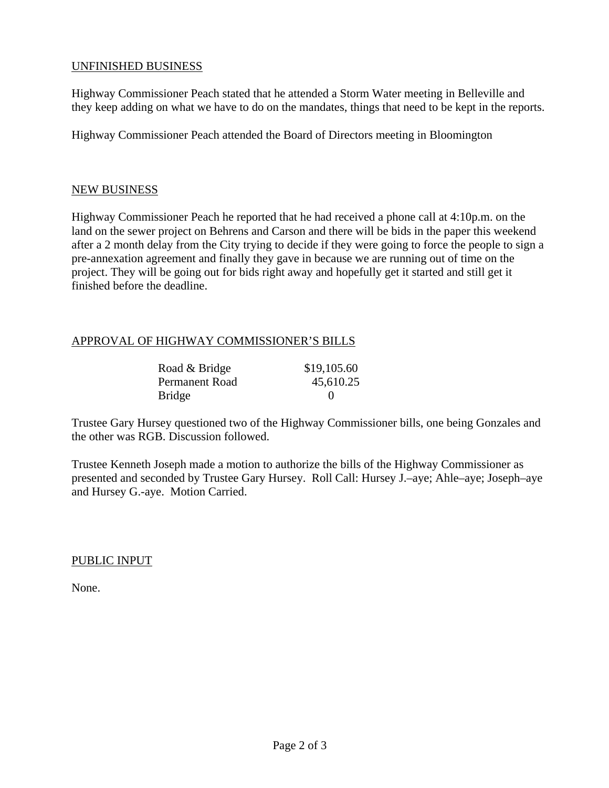## UNFINISHED BUSINESS

Highway Commissioner Peach stated that he attended a Storm Water meeting in Belleville and they keep adding on what we have to do on the mandates, things that need to be kept in the reports.

Highway Commissioner Peach attended the Board of Directors meeting in Bloomington

#### NEW BUSINESS

Highway Commissioner Peach he reported that he had received a phone call at 4:10p.m. on the land on the sewer project on Behrens and Carson and there will be bids in the paper this weekend after a 2 month delay from the City trying to decide if they were going to force the people to sign a pre-annexation agreement and finally they gave in because we are running out of time on the project. They will be going out for bids right away and hopefully get it started and still get it finished before the deadline.

## APPROVAL OF HIGHWAY COMMISSIONER'S BILLS

| Road & Bridge  | \$19,105.60 |
|----------------|-------------|
| Permanent Road | 45,610.25   |
| Bridge         |             |

Trustee Gary Hursey questioned two of the Highway Commissioner bills, one being Gonzales and the other was RGB. Discussion followed.

Trustee Kenneth Joseph made a motion to authorize the bills of the Highway Commissioner as presented and seconded by Trustee Gary Hursey. Roll Call: Hursey J.–aye; Ahle–aye; Joseph–aye and Hursey G.-aye. Motion Carried.

PUBLIC INPUT

None.